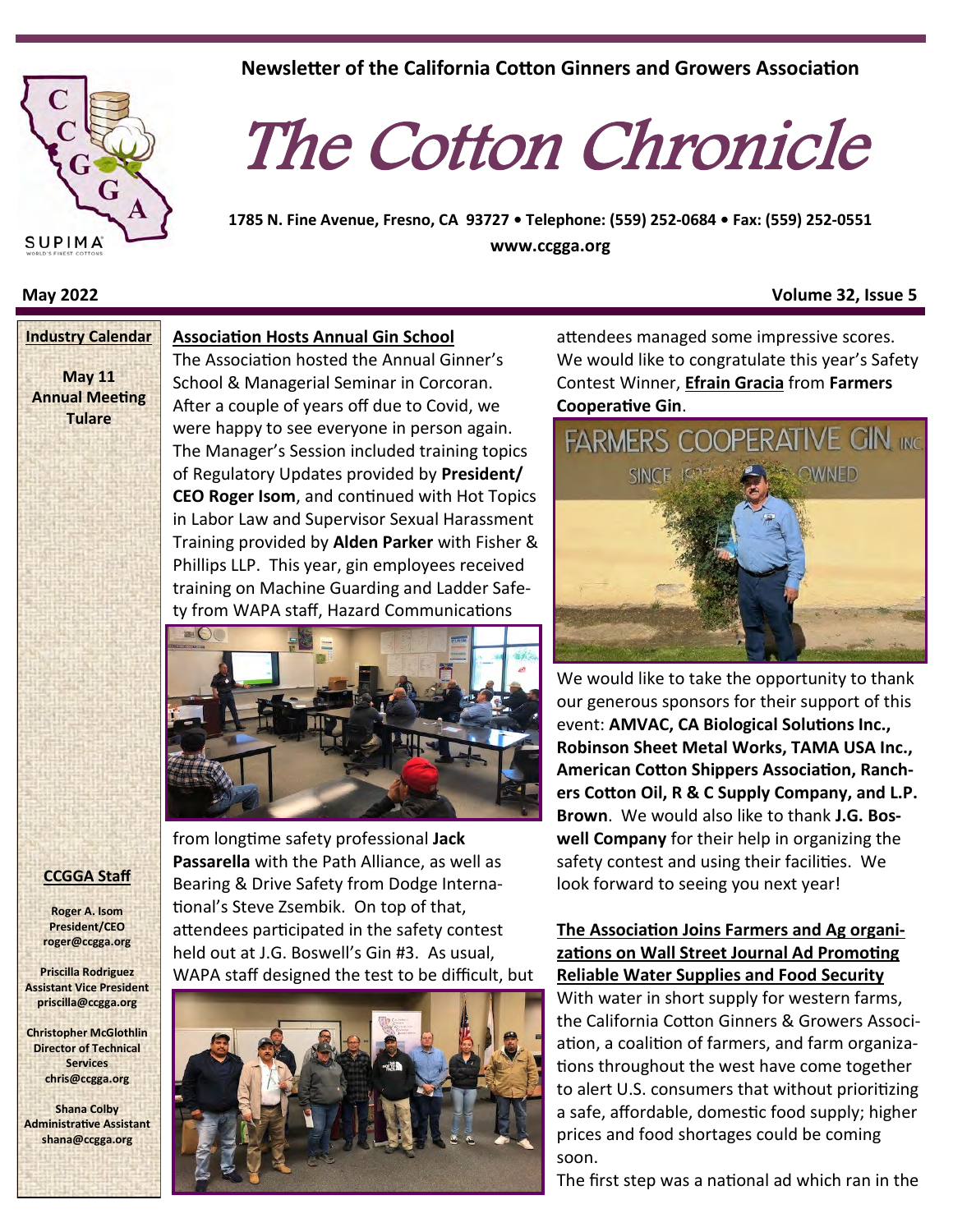

**May 11 Annual Meeting Tulare**

#### **Association Hosts Annual Gin School Industry Calendar**

The Association hosted the Annual Ginner's School & Managerial Seminar in Corcoran. After a couple of years off due to Covid, we were happy to see everyone in person again. The Manager's Session included training topics of Regulatory Updates provided by **President/ CEO Roger Isom**, and continued with Hot Topics in Labor Law and Supervisor Sexual Harassment Training provided by **Alden Parker** with Fisher & Phillips LLP. This year, gin employees received training on Machine Guarding and Ladder Safety from WAPA staff, Hazard Communications



from longtime safety professional **Jack Passarella** with the Path Alliance, as well as Bearing & Drive Safety from Dodge International's Steve Zsembik. On top of that, attendees participated in the safety contest held out at J.G. Boswell's Gin #3. As usual, WAPA staff designed the test to be difficult, but



**Newsletter of the California Cotton Ginners and Growers Association**

## The Cotton Chronicle

**1785 N. Fine Avenue, Fresno, CA 93727 • Telephone: (559) 252-0684 • Fax: (559) 252-0551 www.ccgga.org**

#### **May 2022 Volume 32, Issue 5**

attendees managed some impressive scores. We would like to congratulate this year's Safety Contest Winner, **Efrain Gracia** from **Farmers Cooperative Gin**.



We would like to take the opportunity to thank our generous sponsors for their support of this event: **AMVAC, CA Biological Solutions Inc., Robinson Sheet Metal Works, TAMA USA Inc., American Cotton Shippers Association, Ranchers Cotton Oil, R & C Supply Company, and L.P. Brown**. We would also like to thank **J.G. Boswell Company** for their help in organizing the safety contest and using their facilities. We look forward to seeing you next year!

### **The Association Joins Farmers and Ag organizations on Wall Street Journal Ad Promoting Reliable Water Supplies and Food Security**

With water in short supply for western farms, the California Cotton Ginners & Growers Association, a coalition of farmers, and farm organizations throughout the west have come together to alert U.S. consumers that without prioritizing a safe, affordable, domestic food supply; higher prices and food shortages could be coming soon.

The first step was a national ad which ran in the

#### **CCGGA Staff**

**Roger A. Isom President/CEO roger@ccgga.org**

**Priscilla Rodriguez Assistant Vice President priscilla@ccgga.org**

**Christopher McGlothlin Director of Technical Services chris@ccgga.org**

**Shana Colby Administrative Assistant shana@ccgga.org**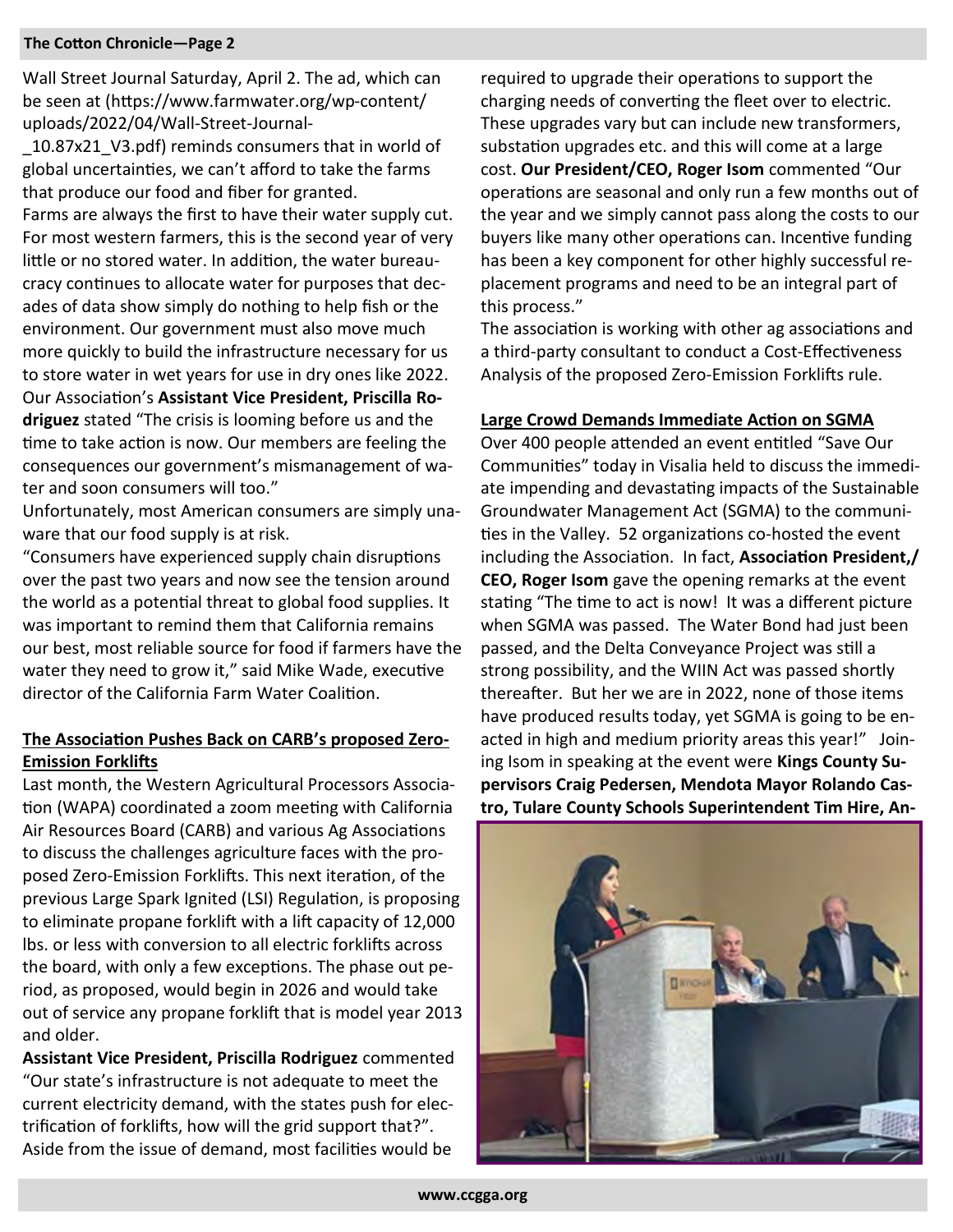Wall Street Journal Saturday, April 2. The ad, which can be seen at [\(htt](https://www.farmwater.org/wp-content/uploads/2022/04/Wall-Street-Journal-_10.87x21_V3.pdf)ps://www.farmwater.org/wp-content/ uploads/2022/04/Wall-Street-Journal-

\_10.87x21\_V3.pdf) reminds consumers that in world of global uncertainties, we can't afford to take the farms that produce our food and fiber for granted.

Farms are always the first to have their water supply cut. For most western farmers, this is the second year of very little or no stored water. In addition, the water bureaucracy continues to allocate water for purposes that decades of data show simply do nothing to help fish or the environment. Our government must also move much more quickly to build the infrastructure necessary for us to store water in wet years for use in dry ones like 2022. Our Association's **Assistant Vice President, Priscilla Rodriguez** stated "The crisis is looming before us and the time to take action is now. Our members are feeling the consequences our government's mismanagement of water and soon consumers will too."

Unfortunately, most American consumers are simply unaware that our food supply is at risk.

"Consumers have experienced supply chain disruptions over the past two years and now see the tension around the world as a potential threat to global food supplies. It was important to remind them that California remains our best, most reliable source for food if farmers have the water they need to grow it," said Mike Wade, executive director of the California Farm Water Coalition.

#### **The Association Pushes Back on CARB's proposed Zero-Emission Forklifts**

Last month, the Western Agricultural Processors Association (WAPA) coordinated a zoom meeting with California Air Resources Board (CARB) and various Ag Associations to discuss the challenges agriculture faces with the proposed Zero-Emission Forklifts. This next iteration, of the previous Large Spark Ignited (LSI) Regulation, is proposing to eliminate propane forklift with a lift capacity of 12,000 lbs. or less with conversion to all electric forklifts across the board, with only a few exceptions. The phase out period, as proposed, would begin in 2026 and would take out of service any propane forklift that is model year 2013 and older.

**Assistant Vice President, Priscilla Rodriguez** commented "Our state's infrastructure is not adequate to meet the current electricity demand, with the states push for electrification of forklifts, how will the grid support that?". Aside from the issue of demand, most facilities would be

required to upgrade their operations to support the charging needs of converting the fleet over to electric. These upgrades vary but can include new transformers, substation upgrades etc. and this will come at a large cost. **Our President/CEO, Roger Isom** commented "Our operations are seasonal and only run a few months out of the year and we simply cannot pass along the costs to our buyers like many other operations can. Incentive funding has been a key component for other highly successful replacement programs and need to be an integral part of this process."

The association is working with other ag associations and a third-party consultant to conduct a Cost-Effectiveness Analysis of the proposed Zero-Emission Forklifts rule.

#### **Large Crowd Demands Immediate Action on SGMA**

Over 400 people attended an event entitled "Save Our Communities" today in Visalia held to discuss the immediate impending and devastating impacts of the Sustainable Groundwater Management Act (SGMA) to the communities in the Valley. 52 organizations co-hosted the event including the Association. In fact, **Association President,/ CEO, Roger Isom** gave the opening remarks at the event stating "The time to act is now! It was a different picture when SGMA was passed. The Water Bond had just been passed, and the Delta Conveyance Project was still a strong possibility, and the WIIN Act was passed shortly thereafter. But her we are in 2022, none of those items have produced results today, yet SGMA is going to be enacted in high and medium priority areas this year!" Joining Isom in speaking at the event were **Kings County Supervisors Craig Pedersen, Mendota Mayor Rolando Castro, Tulare County Schools Superintendent Tim Hire, An-**

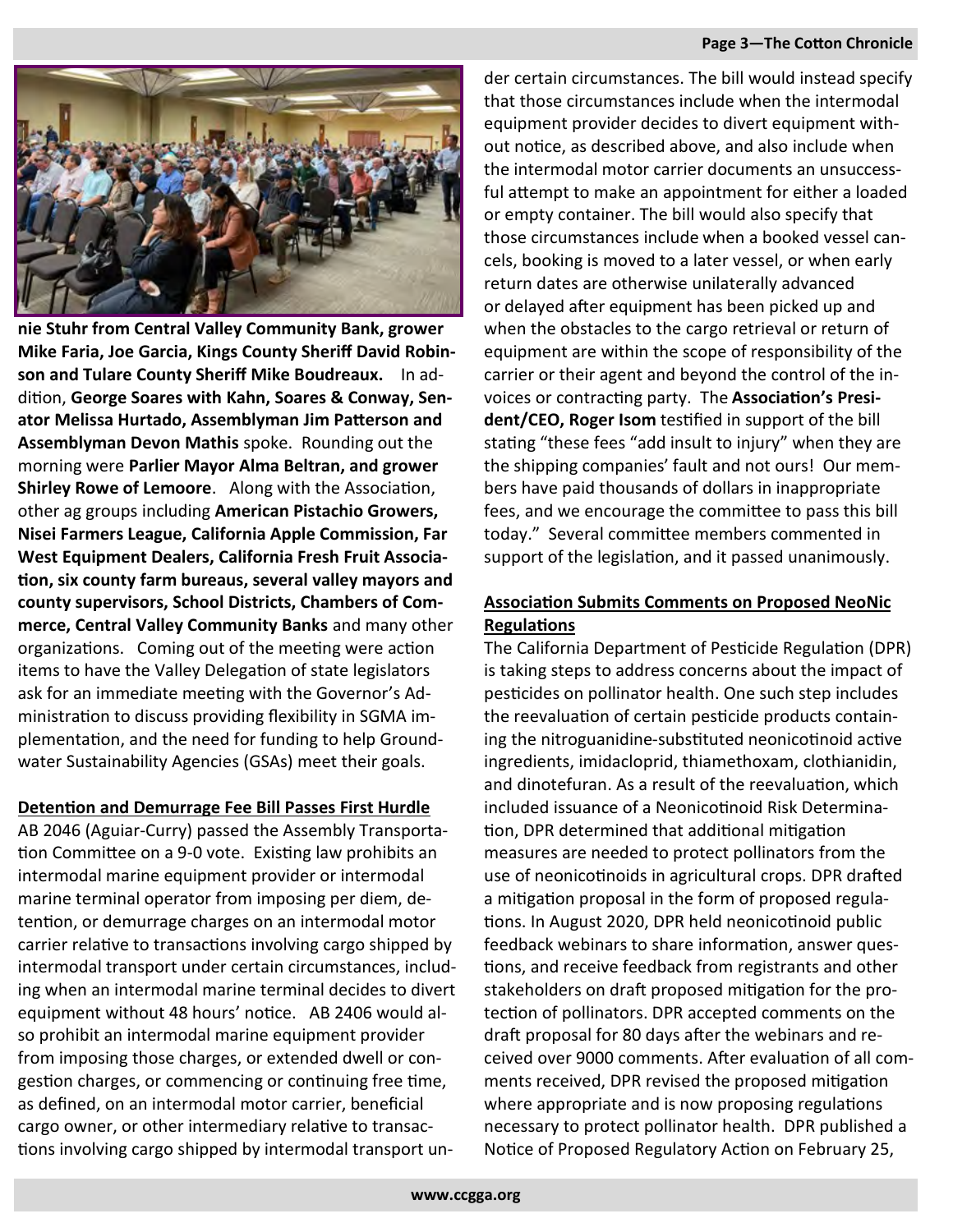#### **Page 3—The Cotton Chronicle**



**nie Stuhr from Central Valley Community Bank, grower Mike Faria, Joe Garcia, Kings County Sheriff David Robinson and Tulare County Sheriff Mike Boudreaux.** In addition, **George Soares with Kahn, Soares & Conway, Senator Melissa Hurtado, Assemblyman Jim Patterson and Assemblyman Devon Mathis** spoke. Rounding out the morning were **Parlier Mayor Alma Beltran, and grower Shirley Rowe of Lemoore**. Along with the Association, other ag groups including **American Pistachio Growers, Nisei Farmers League, California Apple Commission, Far West Equipment Dealers, California Fresh Fruit Association, six county farm bureaus, several valley mayors and county supervisors, School Districts, Chambers of Commerce, Central Valley Community Banks** and many other organizations. Coming out of the meeting were action items to have the Valley Delegation of state legislators ask for an immediate meeting with the Governor's Administration to discuss providing flexibility in SGMA implementation, and the need for funding to help Groundwater Sustainability Agencies (GSAs) meet their goals.

#### **Detention and Demurrage Fee Bill Passes First Hurdle**

AB 2046 (Aguiar-Curry) passed the Assembly Transportation Committee on a 9-0 vote. Existing law prohibits an intermodal marine equipment provider or intermodal marine terminal operator from imposing per diem, detention, or demurrage charges on an intermodal motor carrier relative to transactions involving cargo shipped by intermodal transport under certain circumstances, including when an intermodal marine terminal decides to divert equipment without 48 hours' notice. AB 2406 would also prohibit an intermodal marine equipment provider from imposing those charges, or extended dwell or congestion charges, or commencing or continuing free time, as defined, on an intermodal motor carrier, beneficial cargo owner, or other intermediary relative to transactions involving cargo shipped by intermodal transport un-

der certain circumstances. The bill would instead specify that those circumstances include when the intermodal equipment provider decides to divert equipment without notice, as described above, and also include when the intermodal motor carrier documents an unsuccessful attempt to make an appointment for either a loaded or empty container. The bill would also specify that those circumstances include when a booked vessel cancels, booking is moved to a later vessel, or when early return dates are otherwise unilaterally advanced or delayed after equipment has been picked up and when the obstacles to the cargo retrieval or return of equipment are within the scope of responsibility of the carrier or their agent and beyond the control of the invoices or contracting party. The **Association's President/CEO, Roger Isom** testified in support of the bill stating "these fees "add insult to injury" when they are the shipping companies' fault and not ours! Our members have paid thousands of dollars in inappropriate fees, and we encourage the committee to pass this bill today." Several committee members commented in support of the legislation, and it passed unanimously.

#### **Association Submits Comments on Proposed NeoNic Regulations**

The California Department of Pesticide Regulation (DPR) is taking steps to address concerns about the impact of pesticides on pollinator health. One such step includes the reevaluation of certain pesticide products containing the nitroguanidine-substituted neonicotinoid active ingredients, imidacloprid, thiamethoxam, clothianidin, and dinotefuran. As a result of the reevaluation, which included issuance of a Neonicotinoid Risk Determination, DPR determined that additional mitigation measures are needed to protect pollinators from the use of neonicotinoids in agricultural crops. DPR drafted a mitigation proposal in the form of proposed regulations. In August 2020, DPR held neonicotinoid public feedback webinars to share information, answer questions, and receive feedback from registrants and other stakeholders on draft proposed mitigation for the protection of pollinators. DPR accepted comments on the draft proposal for 80 days after the webinars and received over 9000 comments. After evaluation of all comments received, DPR revised the proposed mitigation where appropriate and is now proposing regulations necessary to protect pollinator health. DPR published a Notice of Proposed Regulatory Action on February 25,